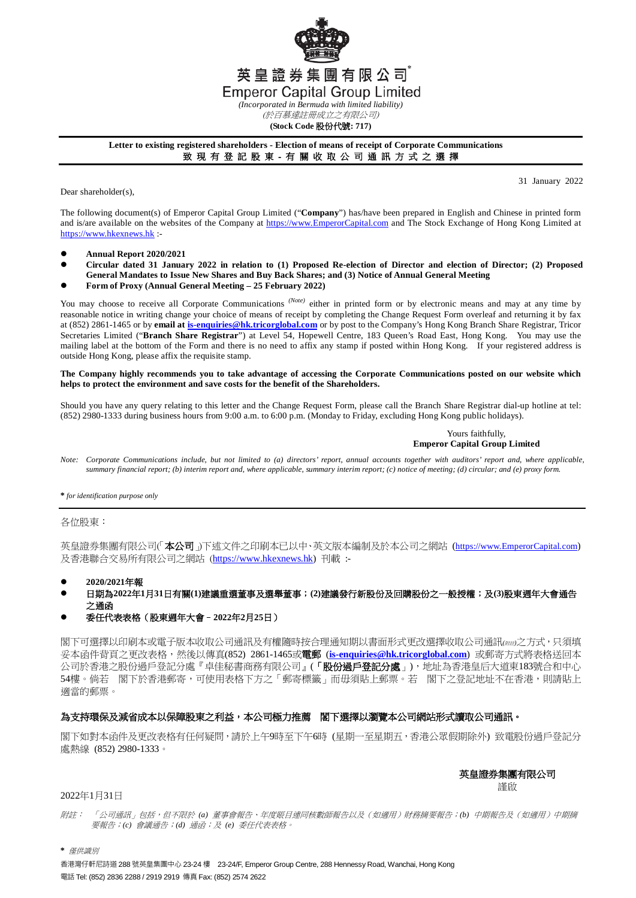

**(Stock Code** 股份代號**: 717)**

### **Letter to existing registered shareholders - Election of means of receipt of Corporate Communications** 致 現 有 登 記 股 東 - 有 關 收 取 公 司 通 訊 方 式 之 選 擇

Dear shareholder(s),

31 January 2022

The following document(s) of Emperor Capital Group Limited ("**Company**") has/have been prepared in English and Chinese in printed form and is/are available on the websites of the Company at [https://www.EmperorCapital.com](https://www.emperorcapital.com/) and The Stock Exchange of Hong Kong Limited at [https://www.hkexnews.hk](https://www.hkexnews.hk/) :-

- **Annual Report 2020/2021**
- **Circular dated 31 January 2022 in relation to (1) Proposed Re-election of Director and election of Director; (2) Proposed General Mandates to Issue New Shares and Buy Back Shares; and (3) Notice of Annual General Meeting**
- **Form of Proxy (Annual General Meeting – 25 February 2022)**

You may choose to receive all Corporate Communications <sup>(Note)</sup> either in printed form or by electronic means and may at any time by reasonable notice in writing change your choice of means of receipt by completing the Change Request Form overleaf and returning it by fax at (852) 2861-1465 or by **email a[t is-enquiries@hk.tricorglobal.com](mailto:is-enquiries@hk.tricorglobal.com)** or by post to the Company's Hong Kong Branch Share Registrar, Tricor Secretaries Limited ("**Branch Share Registrar**") at Level 54, Hopewell Centre, 183 Queen's Road East, Hong Kong. You may use the mailing label at the bottom of the Form and there is no need to affix any stamp if posted within Hong Kong. If your registered address is outside Hong Kong, please affix the requisite stamp.

#### **The Company highly recommends you to take advantage of accessing the Corporate Communications posted on our website which helps to protect the environment and save costs for the benefit of the Shareholders.**

Should you have any query relating to this letter and the Change Request Form, please call the Branch Share Registrar dial-up hotline at tel: (852) 2980-1333 during business hours from 9:00 a.m. to 6:00 p.m. (Monday to Friday, excluding Hong Kong public holidays).

#### Yours faithfully, **Emperor Capital Group Limited**

*Note: Corporate Communications include, but not limited to (a) directors' report, annual accounts together with auditors' report and, where applicable, summary financial report; (b) interim report and, where applicable, summary interim report; (c) notice of meeting; (d) circular; and (e) proxy form.*

**\*** *for identification purpose only*

### 各位股東:

英皇證券集團有限公司(本公司」)下述文件之印刷本已以中、英文版本編制及於本公司之網站 (https://www.EmperorCapital.com) 及香港聯合交易所有限公司之網站 ([https://www.hkexnews.hk\)](https://www.hkexnews.hk/) 刊載 :-

- **2020/2021**年報
- 日期為**2022**年**1**月**31**日有關**(1)**建議重選董事及選舉董事;**(2)**建議發行新股份及回購股份之一般授權;及**(3)**股東週年大會通告 之通函

### 委任代表表格(股東週年大會–**2022**年**2**月**25**日)

閣下可選擇以印刷本或電子版本收取公司通訊及有權隨時按合理通知期以書面形式更改選擇收取公司通訊*(*附註*)*之方式,只須填 妥本函件背頁之更改表格,然後以傳真(852) 2861-1465或電郵 (**[is-enquiries@hk.tricorglobal.com](mailto:is-enquiries@hk.tricorglobal.com)**) 或郵寄方式將表格送回本 公司於香港之股份過戶登記分處『卓佳秘書商務有限公司』(「股份過戶登記分處」),地址為香港皇后大道東183號合和中心 54樓。倘若 閣下於香港郵寄,可使用表格下方之「郵寄標籤」而毋須貼上郵票。若 閣下之登記地址不在香港,則請貼上 適當的郵票。

# 為支持環保及減省成本以保障股東之利益,本公司極力推薦 閣下選擇以瀏覽本公司網站形式讀取公司通訊。

閣下如對本函件及更改表格有任何疑問,請於上午9時至下午6時 (星期一至星期五,香港公眾假期除外) 致電股份過戶登記分 處熱線 (852) 2980-1333。

# 英皇證券集團有限公司

謹啟

## 2022年1月31日

附註: 「公司通訊」包括,但不限於 *(a)* 董事會報告、年度賬目連同核數師報告以及(如適用)財務摘要報告;*(b)* 中期報告及(如適用)中期摘 要報告;*(c)* 會議通告;*(d)* 通函;及 *(e)* 委任代表表格。

**\*** 僅供識別

香港灣仔軒尼詩道 288 號英皇集團中心 23-24 樓 23-24/F, Emperor Group Centre, 288 Hennessy Road, Wanchai, Hong Kong 電話 Tel: (852) 2836 2288 / 2919 2919 傳真 Fax: (852) 2574 2622